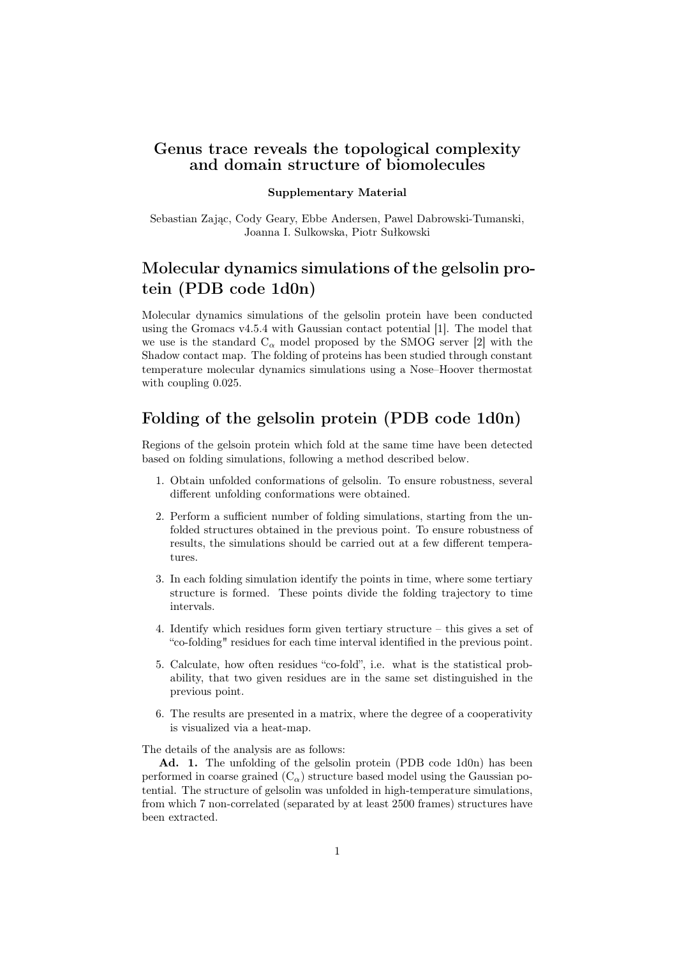#### Genus trace reveals the topological complexity and domain structure of biomolecules

#### Supplementary Material

Sebastian Zając, Cody Geary, Ebbe Andersen, Pawel Dabrowski-Tumanski, Joanna I. Sulkowska, Piotr Sułkowski

# Molecular dynamics simulations of the gelsolin protein (PDB code 1d0n)

Molecular dynamics simulations of the gelsolin protein have been conducted using the Gromacs v4.5.4 with Gaussian contact potential [1]. The model that we use is the standard  $C_{\alpha}$  model proposed by the SMOG server [2] with the Shadow contact map. The folding of proteins has been studied through constant temperature molecular dynamics simulations using a Nose–Hoover thermostat with coupling 0.025.

### Folding of the gelsolin protein (PDB code 1d0n)

Regions of the gelsoin protein which fold at the same time have been detected based on folding simulations, following a method described below.

- 1. Obtain unfolded conformations of gelsolin. To ensure robustness, several different unfolding conformations were obtained.
- 2. Perform a sufficient number of folding simulations, starting from the unfolded structures obtained in the previous point. To ensure robustness of results, the simulations should be carried out at a few different temperatures.
- 3. In each folding simulation identify the points in time, where some tertiary structure is formed. These points divide the folding trajectory to time intervals.
- 4. Identify which residues form given tertiary structure this gives a set of "co-folding" residues for each time interval identified in the previous point.
- 5. Calculate, how often residues "co-fold", i.e. what is the statistical probability, that two given residues are in the same set distinguished in the previous point.
- 6. The results are presented in a matrix, where the degree of a cooperativity is visualized via a heat-map.

The details of the analysis are as follows:

Ad. 1. The unfolding of the gelsolin protein (PDB code 1d0n) has been performed in coarse grained  $(C_{\alpha})$  structure based model using the Gaussian potential. The structure of gelsolin was unfolded in high-temperature simulations, from which 7 non-correlated (separated by at least 2500 frames) structures have been extracted.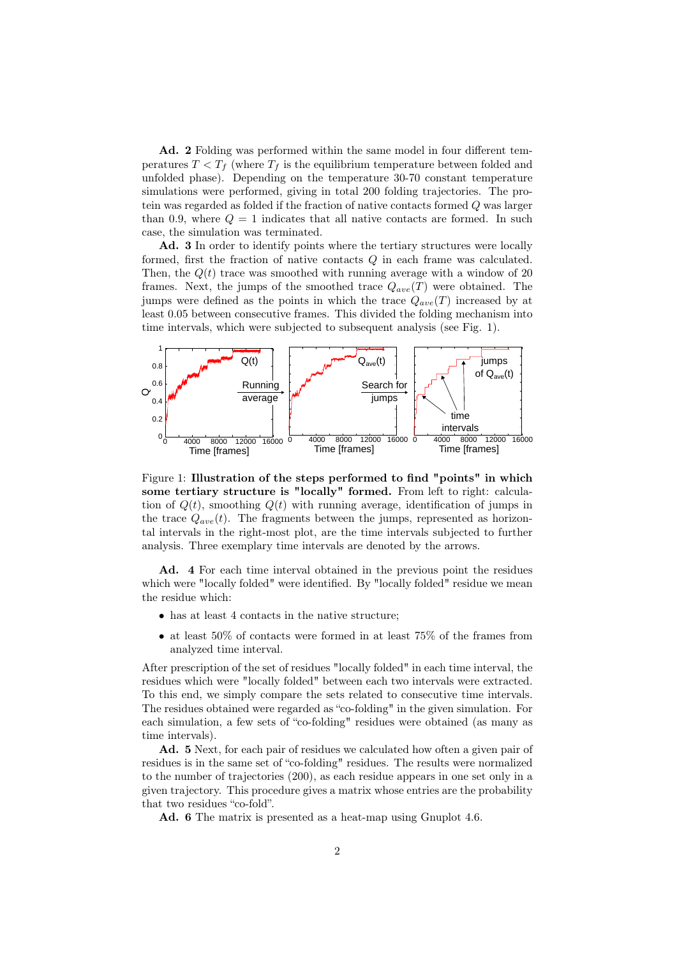Ad. 2 Folding was performed within the same model in four different temperatures  $T < T_f$  (where  $T_f$  is the equilibrium temperature between folded and unfolded phase). Depending on the temperature 30-70 constant temperature simulations were performed, giving in total 200 folding trajectories. The protein was regarded as folded if the fraction of native contacts formed Q was larger than 0.9, where  $Q = 1$  indicates that all native contacts are formed. In such case, the simulation was terminated.

Ad. 3 In order to identify points where the tertiary structures were locally formed, first the fraction of native contacts  $Q$  in each frame was calculated. Then, the  $Q(t)$  trace was smoothed with running average with a window of 20 frames. Next, the jumps of the smoothed trace  $Q_{ave}(T)$  were obtained. The jumps were defined as the points in which the trace  $Q_{ave}(T)$  increased by at least 0.05 between consecutive frames. This divided the folding mechanism into time intervals, which were subjected to subsequent analysis (see Fig. 1).



Figure 1: Illustration of the steps performed to find "points" in which some tertiary structure is "locally" formed. From left to right: calculation of  $Q(t)$ , smoothing  $Q(t)$  with running average, identification of jumps in the trace  $Q_{ave}(t)$ . The fragments between the jumps, represented as horizontal intervals in the right-most plot, are the time intervals subjected to further analysis. Three exemplary time intervals are denoted by the arrows.

Ad. 4 For each time interval obtained in the previous point the residues which were "locally folded" were identified. By "locally folded" residue we mean the residue which:

- has at least 4 contacts in the native structure;
- at least 50% of contacts were formed in at least 75% of the frames from analyzed time interval.

After prescription of the set of residues "locally folded" in each time interval, the residues which were "locally folded" between each two intervals were extracted. To this end, we simply compare the sets related to consecutive time intervals. The residues obtained were regarded as "co-folding" in the given simulation. For each simulation, a few sets of "co-folding" residues were obtained (as many as time intervals).

Ad. 5 Next, for each pair of residues we calculated how often a given pair of residues is in the same set of "co-folding" residues. The results were normalized to the number of trajectories (200), as each residue appears in one set only in a given trajectory. This procedure gives a matrix whose entries are the probability that two residues "co-fold".

Ad. 6 The matrix is presented as a heat-map using Gnuplot 4.6.